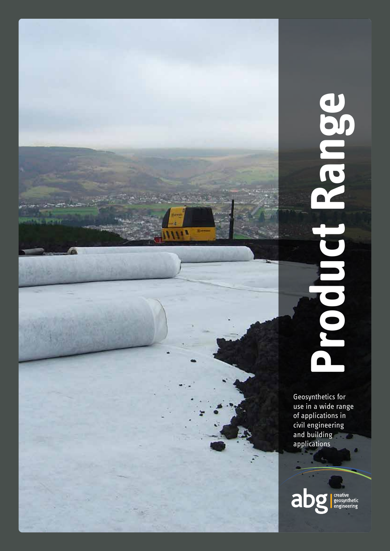

Geosynthetics for use in a wide range of applications in civil engineering and building applications

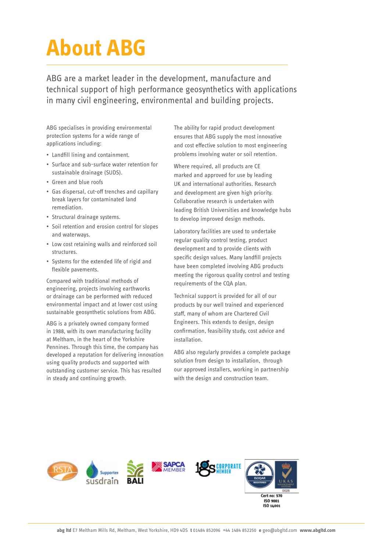# **About ABG**

ABG are a market leader in the development, manufacture and technical support of high performance geosynthetics with applications in many civil engineering, environmental and building projects.

ABG specialises in providing environmental protection systems for a wide range of applications including:

- Landfill lining and containment.
- Surface and sub-surface water retention for sustainable drainage (SUDS).
- Green and blue roofs
- Gas dispersal, cut-off trenches and capillary break layers for contaminated land remediation.
- Structural drainage systems.
- Soil retention and erosion control for slopes and waterways.
- Low cost retaining walls and reinforced soil structures.
- Systems for the extended life of rigid and flexible pavements.

Compared with traditional methods of engineering, projects involving earthworks or drainage can be performed with reduced environmental impact and at lower cost using sustainable geosynthetic solutions from ABG.

ABG is a privately owned company formed in 1988, with its own manufacturing facility at Meltham, in the heart of the Yorkshire Pennines. Through this time, the company has developed a reputation for delivering innovation using quality products and supported with outstanding customer service. This has resulted in steady and continuing growth.

The ability for rapid product development ensures that ABG supply the most innovative and cost effective solution to most engineering problems involving water or soil retention.

Where required, all products are CE marked and approved for use by leading UK and international authorities. Research and development are given high priority. Collaborative research is undertaken with leading British Universities and knowledge hubs to develop improved design methods.

Laboratory facilities are used to undertake regular quality control testing, product development and to provide clients with specific design values. Many landfill projects have been completed involving ABG products meeting the rigorous quality control and testing requirements of the CQA plan.

Technical support is provided for all of our products by our well trained and experienced staff, many of whom are Chartered Civil Engineers. This extends to design, design confirmation, feasibility study, cost advice and installation.

ABG also regularly provides a complete package solution from design to installation, through our approved installers, working in partnership with the design and construction team.

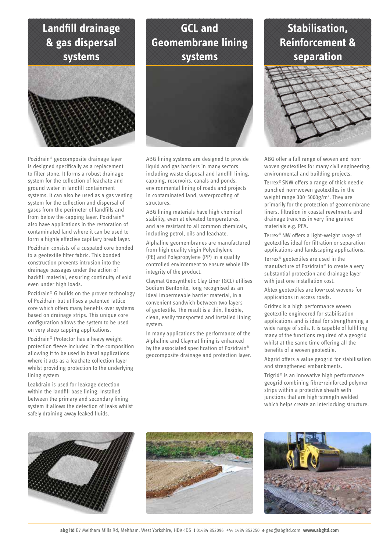#### **Landfill drainage & gas dispersal systems**



Pozidrain® geocomposite drainage layer is designed specifically as a replacement to filter stone. It forms a robust drainage system for the collection of leachate and ground water in landfill containment systems. It can also be used as a gas venting system for the collection and dispersal of gases from the perimeter of landfills and from below the capping layer. Pozidrain® also have applications in the restoration of contaminated land where it can be used to form a highly effective capillary break layer.

Pozidrain consists of a cuspated core bonded to a geotextile filter fabric. This bonded construction prevents intrusion into the drainage passages under the action of backfill material, ensuring continuity of void even under high loads.

Pozidrain® G builds on the proven technology of Pozidrain but utilises a patented lattice core which offers many benefits over systems based on drainage strips. This unique core configuration allows the system to be used on very steep capping applications.

Pozidrain® Protector has a heavy weight protection fleece included in the composition allowing it to be used in basal applications where it acts as a leachate collection layer whilst providing protection to the underlying lining system

Leakdrain is used for leakage detection within the landfill base lining. Installed between the primary and secondary lining system it allows the detection of leaks whilst safely draining away leaked fluids.



ABG lining systems are designed to provide liquid and gas barriers in many sectors including waste disposal and landfill lining, capping, reservoirs, canals and ponds, environmental lining of roads and projects in contaminated land, waterproofing of structures.

ABG lining materials have high chemical stability, even at elevated temperatures, and are resistant to all common chemicals, including petrol, oils and leachate.

Alphaline geomembranes are manufactured from high quality virgin Polyethylene (PE) and Polypropylene (PP) in a quality controlled environment to ensure whole life integrity of the product.

Claymat Geosynthetic Clay Liner (GCL) utilises Sodium Bentonite, long recognised as an ideal impermeable barrier material, in a convenient sandwich between two layers of geotextile. The result is a thin, flexible, clean, easily transported and installed lining system.

In many applications the performance of the Alphaline and Claymat lining is enhanced by the associated specification of Pozidrain® geocomposite drainage and protection layer.

### **Stabilisation, Reinforcement & separation**



ABG offer a full range of woven and nonwoven geotextiles for many civil engineering, environmental and building projects.

Terrex® SNW offers a range of thick needle punched non-woven geotextiles in the weight range 300-5000g/m<sup>2</sup>. They are primarily for the protection of geomembrane liners, filtration in coastal revetments and drainage trenches in very fine grained materials e.g. PFA.

Terrex® NW offers a light-weight range of geotextiles ideal for filtration or separation applications and landscaping applications.

Terrex® geotextiles are used in the manufacture of Pozidrain® to create a very substantial protection and drainage layer with just one installation cost.

Abtex geotextiles are low-cost wovens for applications in access roads.

Gridtex is a high performance woven geotextile engineered for stabilisation applications and is ideal for strengthening a wide range of soils. It is capable of fulfilling many of the functions required of a geogrid whilst at the same time offering all the benefits of a woven geotextile.

Abgrid offers a value geogrid for stabilisation and strengthened embankments.

Trigrid® is an innovative high performance geogrid combining fibre-reinforced polymer strips within a protective sheath with junctions that are high-strength welded which helps create an interlocking structure.





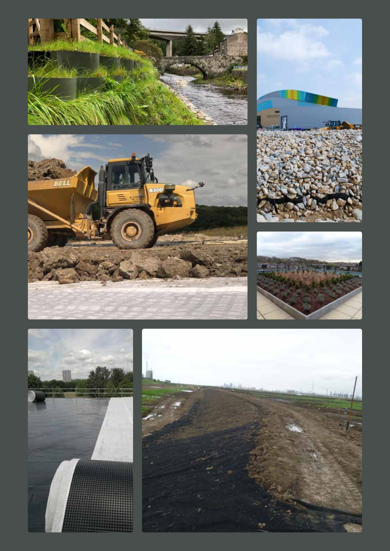









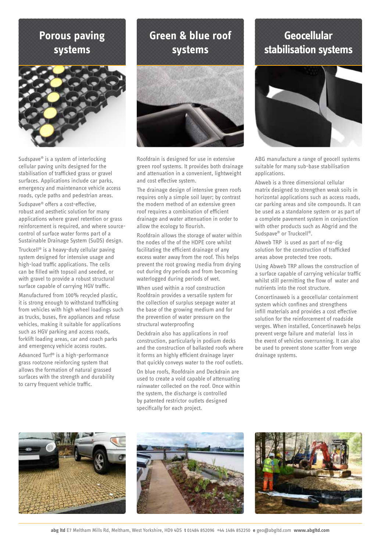#### **Porous paving systems**



Sudspave® is a system of interlocking cellular paving units designed for the stabilisation of trafficked grass or gravel surfaces. Applications include car parks, emergency and maintenance vehicle access roads, cycle paths and pedestrian areas.

Sudspave® offers a cost-effective, robust and aesthetic solution for many applications where gravel retention or grass reinforcement is required, and where sourcecontrol of surface water forms part of a Sustainable Drainage System (SuDS) design.

Truckcell® is a heavy-duty cellular paving system designed for intensive usage and high-load traffic applications. The cells can be filled with topsoil and seeded, or with gravel to provide a robust structural surface capable of carrying HGV traffic.

Manufactured from 100% recycled plastic, it is strong enough to withstand trafficking from vehicles with high wheel loadings such as trucks, buses, fire appliances and refuse vehicles, making it suitable for applications such as HGV parking and access roads, forklift loading areas, car and coach parks and emergency vehicle access routes.

Advanced Turf® is a high-performance grass rootzone reinforcing system that allows the formation of natural grassed surfaces with the strength and durability to carry frequent vehicle traffic.



**Green & blue roof** 

Roofdrain is designed for use in extensive green roof systems. It provides both drainage and attenuation in a convenient, lightweight and cost effective system.

The drainage design of intensive green roofs requires only a simple soil layer; by contrast the modern method of an extensive green roof requires a combination of efficient drainage and water attenuation in order to allow the ecology to flourish.

Roofdrain allows the storage of water within the nodes of the of the HDPE core whilst facilitating the efficient drainage of any excess water away from the roof. This helps prevent the root growing media from drying out during dry periods and from becoming waterlogged during periods of wet.

When used within a roof construction Roofdrain provides a versatile system for the collection of surplus seepage water at the base of the growing medium and for the prevention of water pressure on the structural waterproofing

Deckdrain also has applications in roof construction, particularly in podium decks and the construction of ballasted roofs where it forms an highly efficient drainage layer that quickly conveys water to the roof outlets.

On blue roofs, Roofdrain and Deckdrain are used to create a void capable of attenuating rainwater collected on the roof. Once within the system, the discharge is controlled by patented restrictor outlets designed specifically for each project.

## **Geocellular stabilisation systems**



ABG manufacture a range of geocell systems suitable for many sub-base stabilisation applications.

Abweb is a three dimensional cellular matrix designed to strengthen weak soils in horizontal applications such as access roads, car parking areas and site compounds. It can be used as a standalone system or as part of a complete pavement system in conjunction with other products such as Abgrid and the Sudspave® or Truckcell®.

Abweb TRP is used as part of no-dig solution for the construction of trafficked areas above protected tree roots.

Using Abweb TRP allows the construction of a surface capable of carrying vehicular traffic whilst still permitting the flow of water and nutrients into the root structure.

Concertinaweb is a geocellular containment system which confines and strengthens infill materials and provides a cost effective solution for the reinforcement of roadside verges. When installed, Concertinaweb helps prevent verge failure and material loss in the event of vehicles overrunning. It can also be used to prevent stone scatter from verge drainage systems.





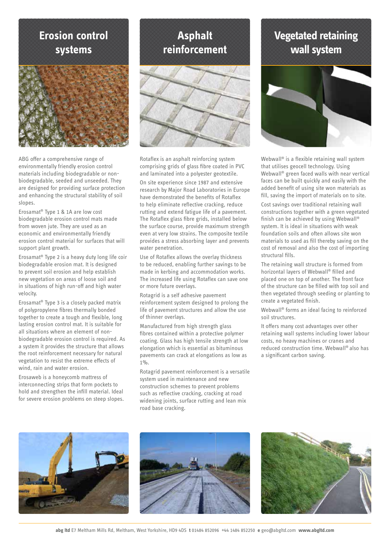#### **Erosion control systems**



ABG offer a comprehensive range of environmentally friendly erosion control materials including biodegradable or nonbiodegradable, seeded and unseeded. They are designed for providing surface protection and enhancing the structural stability of soil slopes.

Erosamat® Type 1 & 1A are low cost biodegradable erosion control mats made from woven jute. They are used as an economic and environmentally friendly erosion control material for surfaces that will support plant growth.

Erosamat® Type 2 is a heavy duty long life coir biodegradable erosion mat. It is designed to prevent soil erosion and help establish new vegetation on areas of loose soil and in situations of high run-off and high water velocity.

Erosamat® Type 3 is a closely packed matrix of polypropylene fibres thermally bonded together to create a tough and flexible, long lasting erosion control mat. It is suitable for all situations where an element of nonbiodegradable erosion control is required. As a system it provides the structure that allows the root reinforcement necessary for natural vegetation to resist the extreme effects of wind, rain and water erosion.

Erosaweb is a honeycomb mattress of interconnecting strips that form pockets to hold and strengthen the infill material. Ideal for severe erosion problems on steep slopes.

## **Asphalt reinforcement**



Rotaflex is an asphalt reinforcing system comprising grids of glass fibre coated in PVC and laminated into a polyester geotextile.

On site experience since 1987 and extensive research by Major Road Laboratories in Europe have demonstrated the benefits of Rotaflex to help eliminate reflective cracking, reduce rutting and extend fatigue life of a pavement. The Rotaflex glass fibre grids, installed below the surface course, provide maximum strength even at very low strains. The composite textile provides a stress absorbing layer and prevents water penetration.

Use of Rotaflex allows the overlay thickness to be reduced, enabling further savings to be made in kerbing and accommodation works. The increased life using Rotaflex can save one or more future overlays.

Rotagrid is a self adhesive pavement reinforcement system designed to prolong the life of pavement structures and allow the use of thinner overlays.

Manufactured from high strength glass fibres contained within a protective polymer coating. Glass has high tensile strength at low elongation which is essential as bituminous pavements can crack at elongations as low as  $1\%$ .

Rotagrid pavement reinforcement is a versatile system used in maintenance and new construction schemes to prevent problems such as reflective cracking, cracking at road widening joints, surface rutting and lean mix road base cracking.

## **Vegetated retaining wall system**



Webwall<sup>®</sup> is a flexible retaining wall system that utilises geocell technology. Using Webwall® green faced walls with near vertical faces can be built quickly and easily with the added benefit of using site won materials as fill, saving the import of materials on to site.

Cost savings over traditional retaining wall constructions together with a green vegetated finish can be achieved by using Webwall® system. It is ideal in situations with weak foundation soils and often allows site won materials to used as fill thereby saving on the cost of removal and also the cost of importing structural fills.

The retaining wall structure is formed from horizontal layers of Webwall® filled and placed one on top of another. The front face of the structure can be filled with top soil and then vegetated through seeding or planting to create a vegetated finish.

Webwall® forms an ideal facing to reinforced soil structures.

It offers many cost advantages over other retaining wall systems including lower labour costs, no heavy machines or cranes and reduced construction time. Webwall® also has a significant carbon saving.





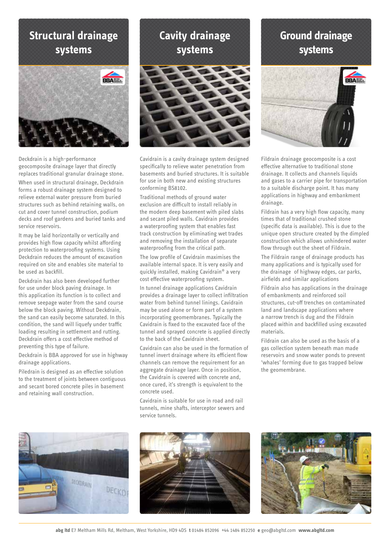#### **Structural drainage systems**



Deckdrain is a high-performance geocomposite drainage layer that directly replaces traditional granular drainage stone.

When used in structural drainage, Deckdrain forms a robust drainage system designed to relieve external water pressure from buried structures such as behind retaining walls, on cut and cover tunnel construction, podium decks and roof gardens and buried tanks and service reservoirs.

It may be laid horizontally or vertically and provides high flow capacity whilst affording protection to waterproofing systems. Using Deckdrain reduces the amount of excavation required on site and enables site material to be used as backfill.

Deckdrain has also been developed further for use under block paving drainage. In this application its function is to collect and remove seepage water from the sand course below the block paving. Without Deckdrain, the sand can easily become saturated. In this condition, the sand will liquefy under traffic loading resulting in settlement and rutting. Deckdrain offers a cost effective method of preventing this type of failure.

Deckdrain is BBA approved for use in highway drainage applications.

Piledrain is designed as an effective solution to the treatment of joints between contiguous and secant bored concrete piles in basement and retaining wall construction.



Cavidrain is a cavity drainage system designed specifically to relieve water penetration from basements and buried structures. It is suitable for use in both new and existing structures conforming BS8102.

Traditional methods of ground water exclusion are difficult to install reliably in the modern deep basement with piled slabs and secant piled walls. Cavidrain provides a waterproofing system that enables fast track construction by eliminating wet trades and removing the installation of separate waterproofing from the critical path.

The low profile of Cavidrain maximises the available internal space. It is very easily and quickly installed, making Cavidrain® a very cost effective waterproofing system.

In tunnel drainage applications Cavidrain provides a drainage layer to collect infiltration water from behind tunnel linings. Cavidrain may be used alone or form part of a system incorporating geomembranes. Typically the Cavidrain is fixed to the excavated face of the tunnel and sprayed concrete is applied directly to the back of the Cavidrain sheet.

Cavidrain can also be used in the formation of tunnel invert drainage where its efficient flow channels can remove the requirement for an aggregate drainage layer. Once in position, the Cavidrain is covered with concrete and, once cured, it's strength is equivalent to the concrete used.

Cavidrain is suitable for use in road and rail tunnels, mine shafts, interceptor sewers and service tunnels.

## **Ground drainage systems**



Fildrain drainage geocomposite is a cost effective alternative to traditional stone drainage. It collects and channels liquids and gases to a carrier pipe for transportation to a suitable discharge point. It has many applications in highway and embankment drainage.

Fildrain has a very high flow capacity, many times that of traditional crushed stone (specific data is available). This is due to the unique open structure created by the dimpled construction which allows unhindered water flow through out the sheet of Fildrain.

The Fildrain range of drainage products has many applications and is typically used for the drainage of highway edges, car parks, airfields and similar applications

Fildrain also has applications in the drainage of embankments and reinforced soil structures, cut-off trenches on contaminated land and landscape applications where a narrow trench is dug and the Fildrain placed within and backfilled using excavated materials.

Fildrain can also be used as the basis of a gas collection system beneath man made reservoirs and snow water ponds to prevent 'whales' forming due to gas trapped below the geomembrane.